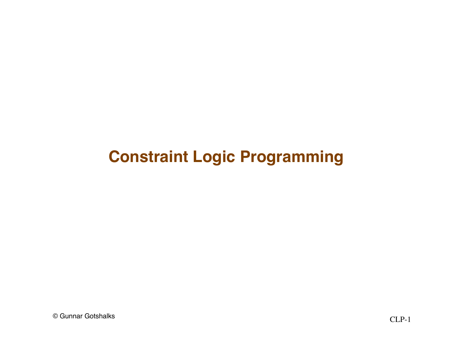## **Constraint Logic Programming**

© Gunnar Gotshalks CLP-1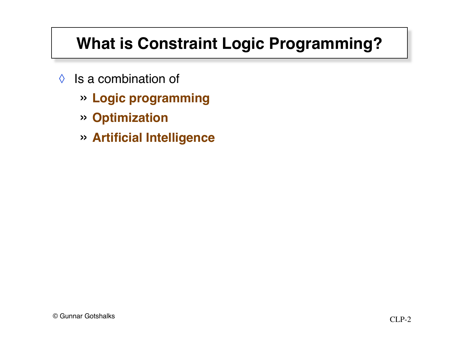# **What is Constraint Logic Programming?**

- $\Diamond$  Is a combination of
	- » **Logic programming**
	- » **Optimization**
	- » **Artificial Intelligence**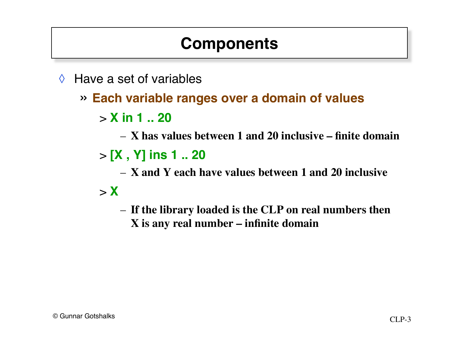# **Components**

- ◊ Have a set of variables
	- » **Each variable ranges over a domain of values**
		- > **X in 1 .. 20**
			- **X has values between 1 and 20 inclusive finite domain**
		- > **[X , Y] ins 1 .. 20**
			- **X and Y each have values between 1 and 20 inclusive**
		- $> X$ 
			- **If the library loaded is the CLP on real numbers then X is any real number – infinite domain**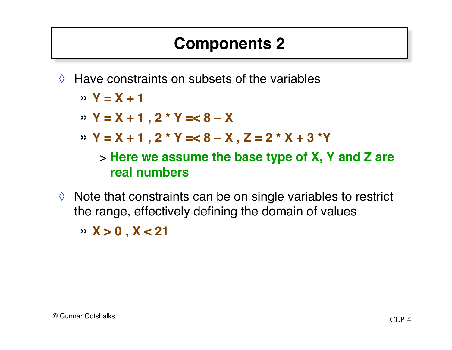# **Components 2**

 $\Diamond$  Have constraints on subsets of the variables

» **Y = X + 1**

$$
\text{or } Y = X + 1 \text{, } 2 \cdot Y = < 8 - X
$$

» **Y = X + 1 , 2 \* Y =< 8 – X , Z = 2 \* X + 3 \*Y**

> **Here we assume the base type of X, Y and Z are real numbers**

◊ Note that constraints can be on single variables to restrict the range, effectively defining the domain of values

» **X > 0 , X < 21**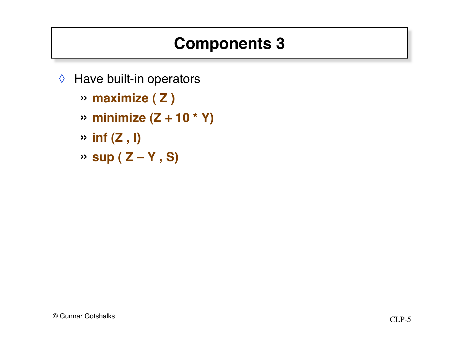# **Components 3**

- ◊ Have built-in operators
	- » **maximize ( Z )**
	- » **minimize (Z + 10 \* Y)**
	- $\rightarrow$  **inf** (Z, I)
	- » **sup ( Z Y , S)**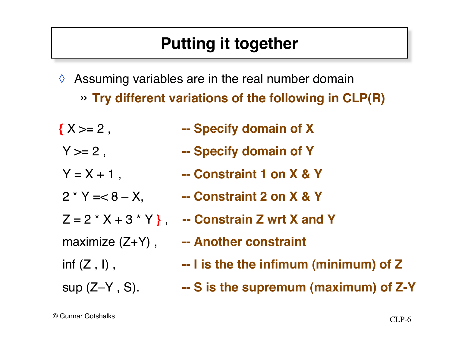# **Putting it together**

- $\Diamond$  Assuming variables are in the real number domain
	- » **Try different variations of the following in CLP(R)**
- 
- 
- 
- 
- 
- 
- 
- 
- **{** X >= 2 , **-- Specify domain of X**
- Y >= 2 , **-- Specify domain of Y**
- $Y = X + 1$ ,  $\qquad \qquad -$  Constraint 1 on X & Y
- 2 \* Y =< 8 X, **-- Constraint 2 on X & Y**
- Z = 2 \* X + 3 \* Y **}** , **-- Constrain Z wrt X and Y**
- maximize (Z+Y) , **-- Another constraint**
- inf (Z , I) , **-- I is the the infimum (minimum) of Z**
- sup (Z–Y , S). **-- S is the supremum (maximum) of Z-Y**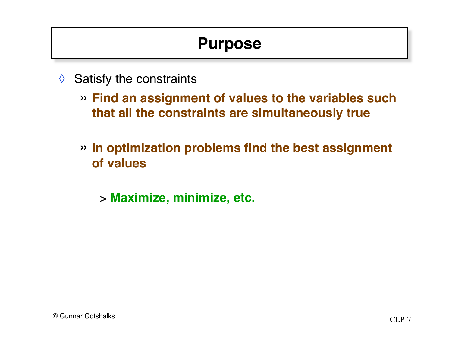## **Purpose**

- $\Diamond$  Satisfy the constraints
	- » **Find an assignment of values to the variables such that all the constraints are simultaneously true**
	- » **In optimization problems find the best assignment of values**
		- > **Maximize, minimize, etc.**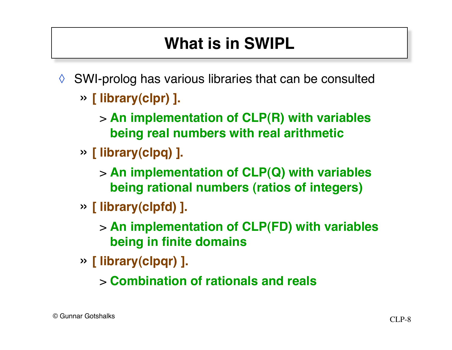# **What is in SWIPL**

- ◊ SWI-prolog has various libraries that can be consulted
	- » **[ library(clpr) ].**
		- > **An implementation of CLP(R) with variables being real numbers with real arithmetic**
	- » **[ library(clpq) ].**
		- > **An implementation of CLP(Q) with variables being rational numbers (ratios of integers)**
	- » **[ library(clpfd) ].**

> **An implementation of CLP(FD) with variables being in finite domains**

- » **[ library(clpqr) ].**
	- > **Combination of rationals and reals**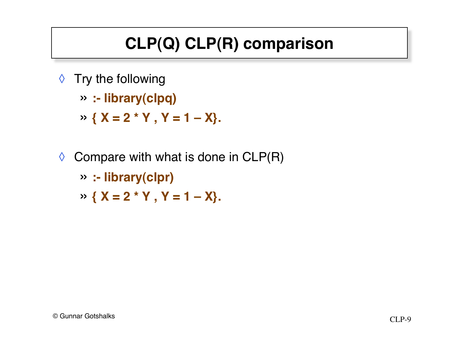# **CLP(Q) CLP(R) comparison**

- ◊ Try the following
	- » **:- library(clpq)**
	- » **{ X = 2 \* Y , Y = 1 – X}.**
- $\Diamond$  Compare with what is done in CLP(R)
	- » **:- library(clpr)**
	- » **{ X = 2 \* Y , Y = 1 – X}.**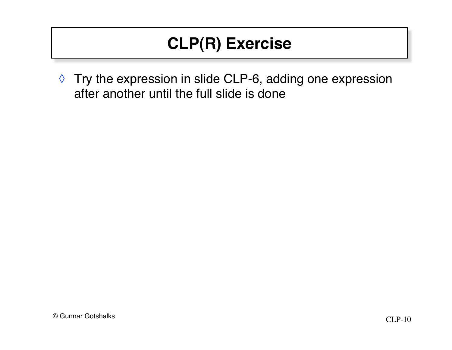# **CLP(R) Exercise**

◊ Try the expression in slide CLP-6, adding one expression after another until the full slide is done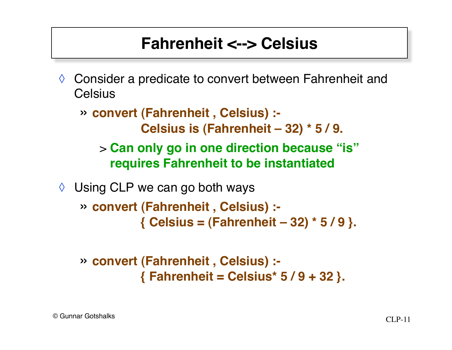## **Fahrenheit <--> Celsius**

◊ Consider a predicate to convert between Fahrenheit and **Celsius** 

» **convert (Fahrenheit , Celsius) :- Celsius is (Fahrenheit – 32) \* 5 / 9.**

> **Can only go in one direction because "is" requires Fahrenheit to be instantiated**

◊ Using CLP we can go both ways

» **convert (Fahrenheit , Celsius) :- { Celsius = (Fahrenheit – 32) \* 5 / 9 }.**

» **convert (Fahrenheit , Celsius) :- { Fahrenheit = Celsius\* 5 / 9 + 32 }.**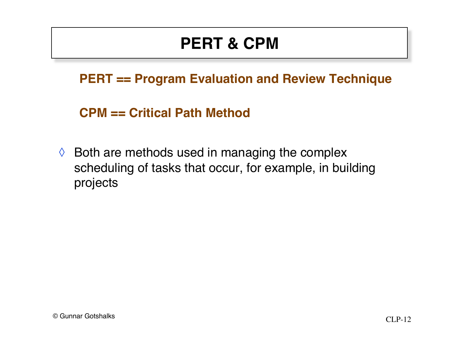# **PERT & CPM**

#### **PERT == Program Evaluation and Review Technique**

**CPM == Critical Path Method**

 $\Diamond$  Both are methods used in managing the complex scheduling of tasks that occur, for example, in building projects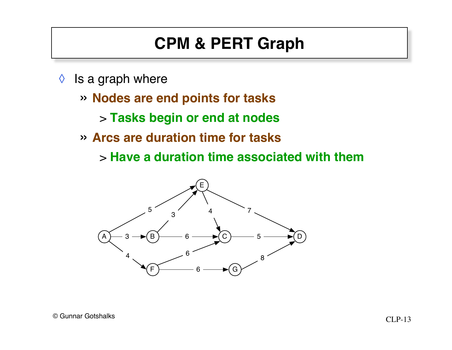# **CPM & PERT Graph**

- $\Diamond$  is a graph where
	- » **Nodes are end points for tasks**
		- > **Tasks begin or end at nodes**
	- » **Arcs are duration time for tasks**
		- > **Have a duration time associated with them**

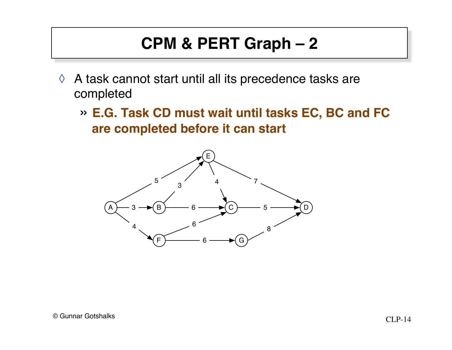# **CPM & PERT Graph – 2**

- $\Diamond$  A task cannot start until all its precedence tasks are completed
	- » **E.G. Task CD must wait until tasks EC, BC and FC are completed before it can start**

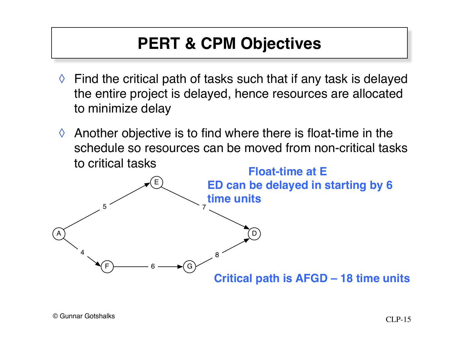# **PERT & CPM Objectives**

- $\Diamond$  Find the critical path of tasks such that if any task is delayed the entire project is delayed, hence resources are allocated to minimize delay
- $\Diamond$  Another objective is to find where there is float-time in the schedule so resources can be moved from non-critical tasks to critical tasks

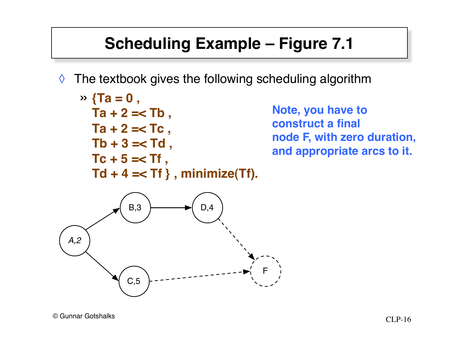# **Scheduling Example – Figure 7.1**

 $\Diamond$  The textbook gives the following scheduling algorithm

$$
\sqrt{7a} = 0, \nTa + 2 = \n
$$
Ta + 2 = TC, \nTb + 3 = Td, \nTc + 5 = TT, \nTd + 4 = TT, minimize(Tf).
$$
$$

**Note, you have to construct a final node F, with zero duration, and appropriate arcs to it.**

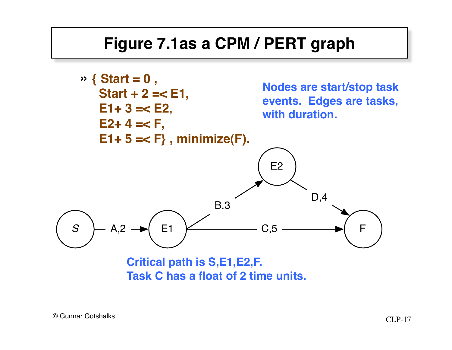### **Figure 7.1as a CPM / PERT graph**



**Task C has a float of 2 time units.**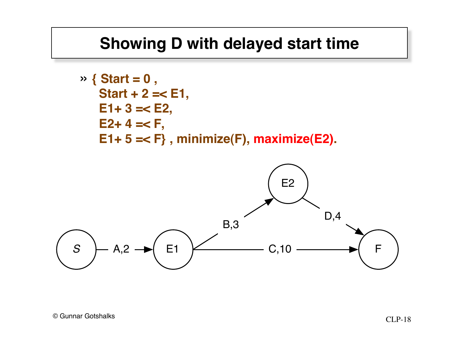### **Showing D with delayed start time**

\n
$$
\sqrt{1 + 3} = 0
$$
\n  
\n $\sqrt{1 + 2} = 1$ \n  
\n $\sqrt{1 + 3} = 1$ \n  
\n $\sqrt{1 + 3} = 1$ \n  
\n $\sqrt{1 + 3} = 1$ \n  
\n $\sqrt{1 + 5} = 1$ \n  
\n $\sqrt{1 + 5} = 1$ \n  
\n $\sqrt{1 + 2} = 1$ \n  
\n $\sqrt{1 + 2} = 1$ \n  
\n $\sqrt{1 + 2} = 1$ \n  
\n $\sqrt{1 + 2} = 1$ \n  
\n $\sqrt{1 + 2} = 1$ \n  
\n $\sqrt{1 + 2} = 1$ \n  
\n $\sqrt{1 + 2} = 1$ \n  
\n $\sqrt{1 + 2} = 1$ \n  
\n $\sqrt{1 + 2} = 1$ \n  
\n $\sqrt{1 + 2} = 1$ \n  
\n $\sqrt{1 + 2} = 1$ \n  
\n $\sqrt{1 + 2} = 1$ \n  
\n $\sqrt{1 + 2} = 1$ \n  
\n $\sqrt{1 + 2} = 1$ \n  
\n $\sqrt{1 + 2} = 1$ \n  
\n $\sqrt{1 + 2} = 1$ \n  
\n $\sqrt{1 + 2} = 1$ \n  
\n $\sqrt{1 + 2} = 1$ \n  
\n $\sqrt{1 + 2} = 1$ \n  
\n $\sqrt{1 + 2} = 1$ \n  
\n $\sqrt{1 + 2} = 1$ \n  
\n $\sqrt{1 + 2} = 1$ \n  
\n $\sqrt{1 + 2} = 1$ \n  
\n $\sqrt{1 + 2} = 1$ \n  
\n $\sqrt{1 + 2} = 1$ \n  
\n $\sqrt{1 + 2} = 1$ \n  
\n $\sqrt{1 + 2} = 1$ \n  
\n $\sqrt{1 + 2} = 1$ \n  
\n $\sqrt{1 + 2} = 1$ \n  
\n $\sqrt{1 + 2} = 1$ \n  
\n $\sqrt{1 + 2} = 1$ \n  
\n

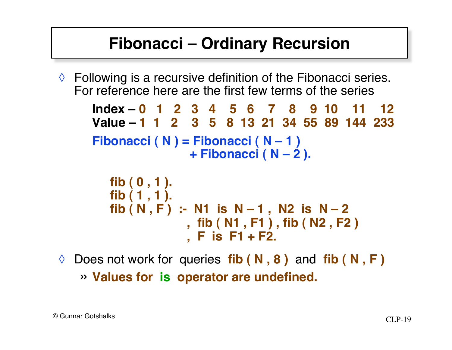### **Fibonacci – Ordinary Recursion**

 $\Diamond$  Following is a recursive definition of the Fibonacci series. For reference here are the first few terms of the series

```
Index – 0 1 2 3 4 5 6 7 8 9 10 11 12
Value – 1 1 2 3 5 8 13 21 34 55 89 144 233
Fibonacci ( N ) = Fibonacci ( N – 1 )
                 + Fibonacci ( N – 2 ).
  fib ( 0 , 1 ).
   fib ( 1 , 1 ).
   fib (N, F) :- N1 is N – 1, N2 is N – 2
                , fib ( N1 , F1 ) , fib ( N2 , F2 )
                , F is F1 + F2.
```
◊ Does not work for queries **fib ( N , 8 )** and **fib ( N , F )** » **Values for is operator are undefined.**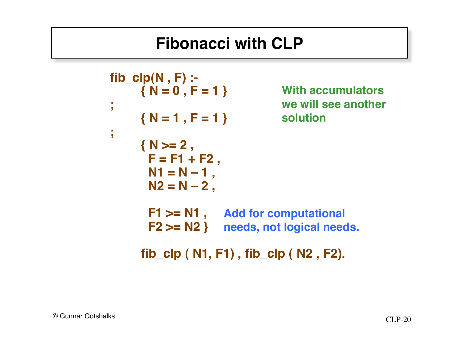## **Fibonacci with CLP**

```
fib_clp(N , F) :-
     { N = 0 , F = 1 }
;
     { N = 1 , F = 1 }
;
     { N >= 2 ,
      F = F1 + F2,
      N1 = N - 1,
      N2 = N - 2 F1 >= N1 ,
Add for computational
      F2 >= N2 }
needs, not logical needs.
     fib_clp ( N1, F1) , fib_clp ( N2 , F2).
                               With accumulators
                               we will see another
                               solution
```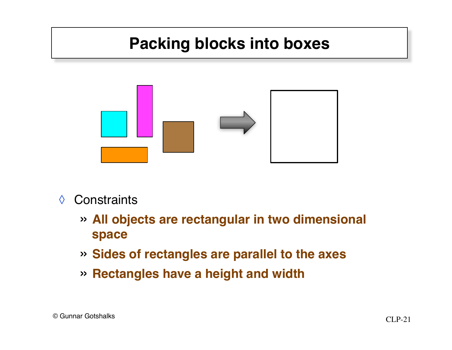# **Packing blocks into boxes**



#### ◊ Constraints

- » **All objects are rectangular in two dimensional space**
- » **Sides of rectangles are parallel to the axes**
- » **Rectangles have a height and width**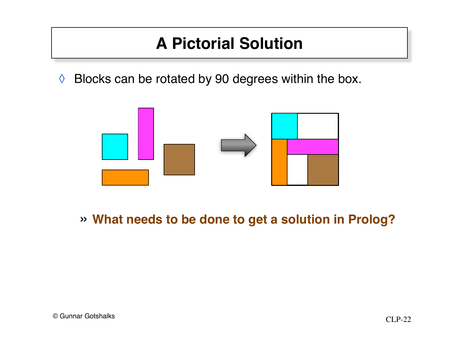### **A Pictorial Solution**

◊ Blocks can be rotated by 90 degrees within the box.



#### » **What needs to be done to get a solution in Prolog?**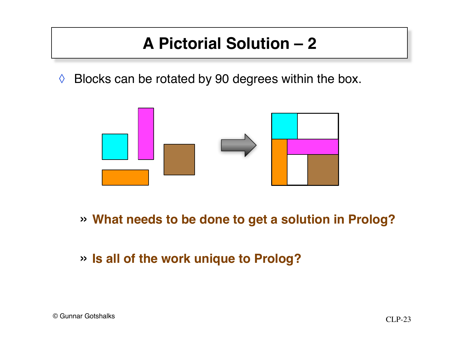# **A Pictorial Solution – 2**

◊ Blocks can be rotated by 90 degrees within the box.



- » **What needs to be done to get a solution in Prolog?**
- » **Is all of the work unique to Prolog?**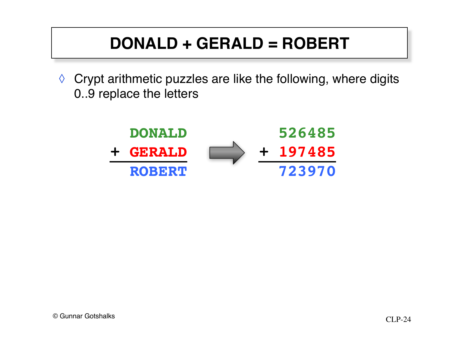# **DONALD + GERALD = ROBERT**

◊ Crypt arithmetic puzzles are like the following, where digits 0..9 replace the letters

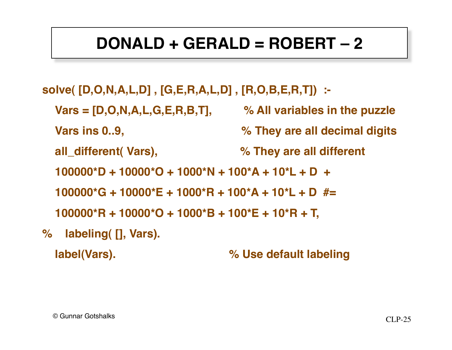# **DONALD + GERALD = ROBERT – 2**

- **solve( [D,O,N,A,L,D] , [G,E,R,A,L,D] , [R,O,B,E,R,T]) :-**
	- **Vars = [D,O,N,A,L,G,E,R,B,T], % All variables in the puzzle**
	- **Vars ins 0..9, % They are all decimal digits**
	- **all\_different( Vars), % They are all different**
	- **100000\*D + 10000\*O + 1000\*N + 100\*A + 10\*L + D +**
	- **100000\*G + 10000\*E + 1000\*R + 100\*A + 10\*L + D #=**
	- **100000\*R + 10000\*O + 1000\*B + 100\*E + 10\*R + T,**
- **% labeling( [], Vars).**
	- **label(Vars). % Use default labeling**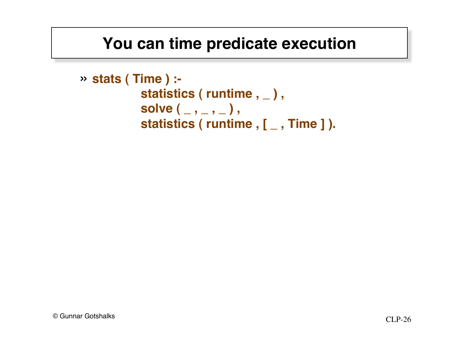### **You can time predicate execution**

```
» stats ( Time ) :-
                   statistics ( runtime , _),
                   solve \left( \underline{\hspace{1cm}}, \underline{\hspace{1cm}}, \underline{\hspace{1cm}} \right),statistics ( runtime , [ _ , Time ] ).
```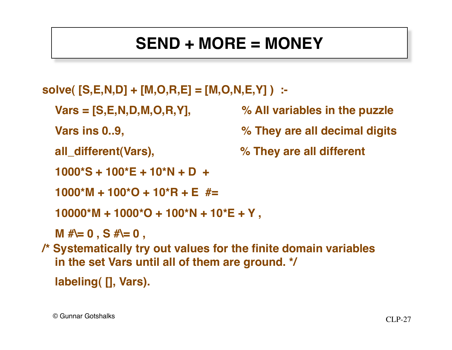# **SEND + MORE = MONEY**

```
solve( [S,E,N,D] + [M,O,R,E] = [M,O,N,E,Y] ) :-
```

```
 Vars = [S,E,N,D,M,O,R,Y], % All variables in the puzzle
```

```
 Vars ins 0..9, % They are all decimal digits
```

```
 all_different(Vars), % They are all different
```

```
 1000*S + 100*E + 10*N + D +
```

```
 1000*M + 100*O + 10*R + E #=
```

```
 10000*M + 1000*O + 100*N + 10*E + Y ,
```
 **M #\= 0 , S #\= 0 ,**

**/\* Systematically try out values for the finite domain variables in the set Vars until all of them are ground. \*/**

```
 labeling( [], Vars).
```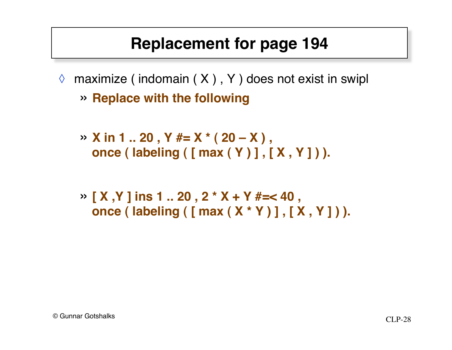### **Replacement for page 194**

- $\Diamond$  maximize (indomain  $(X)$ , Y ) does not exist in swipl » **Replace with the following**
	- » **X in 1 .. 20 , Y #= X \* ( 20 X ) , once ( labeling ( [ max ( Y ) ] , [ X , Y ] ) ).**
	- » **[ X ,Y ] ins 1 .. 20 , 2 \* X + Y #=< 40 , once ( labeling ( [ max ( X \* Y ) ] , [ X , Y ] ) ).**